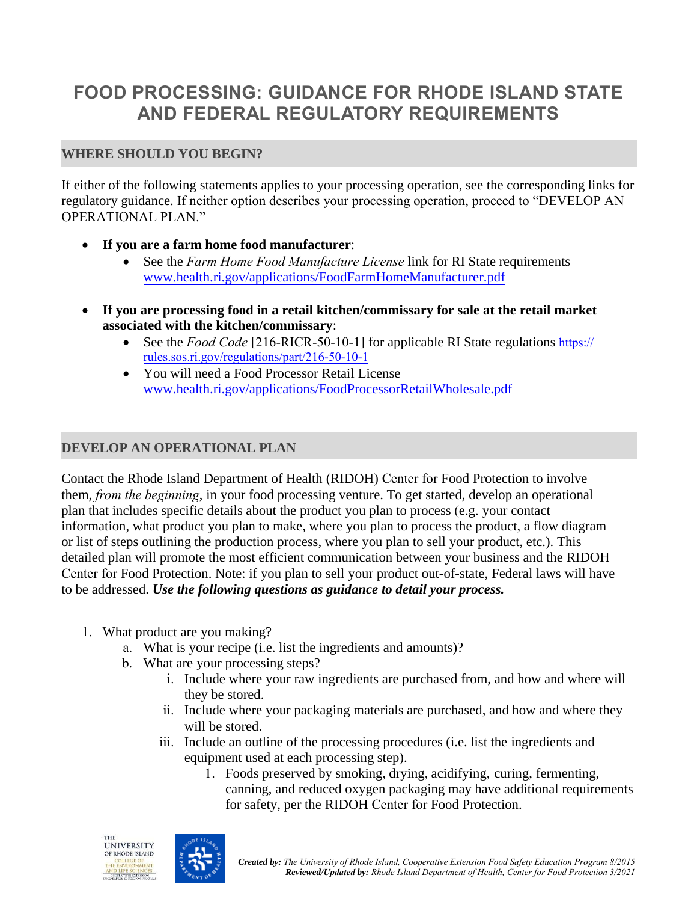# **FOOD PROCESSING: GUIDANCE FOR RHODE ISLAND STATE AND FEDERAL REGULATORY REQUIREMENTS**

# **WHERE SHOULD YOU BEGIN?**

If either of the following statements applies to your processing operation, see the corresponding links for regulatory guidance. If neither option describes your processing operation, proceed to "DEVELOP AN OPERATIONAL PLAN."

- **If you are a farm home food manufacturer**:
	- See the *Farm Home Food Manufacture License* link for RI State requirements www.health.ri.gov/applications/FoodFarmHomeManufacturer.pdf
- **If you are processing food in a retail kitchen/commissary for sale at the retail market associated with the kitchen/commissary**:
	- See the *Food Code* [216-RICR-50-10-1] for applicable RI State regulations https:// rules.sos.ri.gov/regulations/part/216-50-10-1
	- You will need a Food Processor Retail License www.health.ri.gov/applications/FoodProcessorRetailWholesale.pdf

# **DEVELOP AN OPERATIONAL PLAN**

Contact the Rhode Island Department of Health (RIDOH) Center for Food Protection to involve them, *from the beginning*, in your food processing venture. To get started, develop an operational plan that includes specific details about the product you plan to process (e.g. your contact information, what product you plan to make, where you plan to process the product, a flow diagram or list of steps outlining the production process, where you plan to sell your product, etc.). This detailed plan will promote the most efficient communication between your business and the RIDOH Center for Food Protection. Note: if you plan to sell your product out-of-state, Federal laws will have to be addressed. *Use the following questions as guidance to detail your process.* 

- 1. What product are you making?
	- a. What is your recipe (i.e. list the ingredients and amounts)?
	- b. What are your processing steps?
		- i. Include where your raw ingredients are purchased from, and how and where will they be stored.
		- ii. Include where your packaging materials are purchased, and how and where they will be stored.
		- iii. Include an outline of the processing procedures (i.e. list the ingredients and equipment used at each processing step).
			- 1. Foods preserved by smoking, drying, acidifying, curing, fermenting, canning, and reduced oxygen packaging may have additional requirements for safety, per the RIDOH Center for Food Protection.

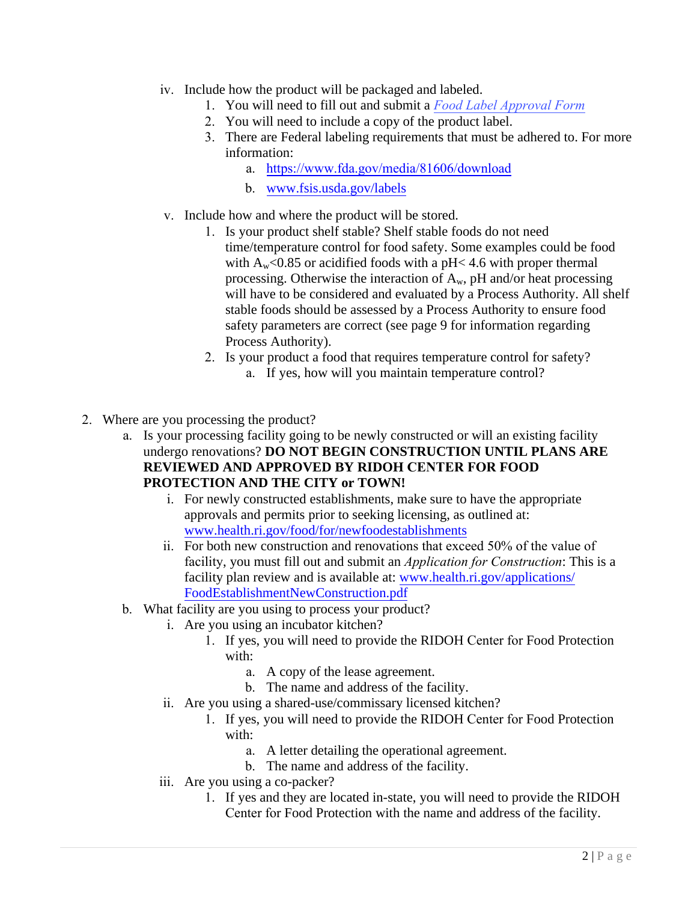- iv. Include how the product will be packaged and labeled.
	- 1. You will need to fill out and submit a *Food Label Approval Form*
	- 2. You will need to include a copy of the product label.
	- 3. There are Federal labeling requirements that must be adhered to. For more information:
		- a. https://www.fda.gov/media/81606/download
		- b. www.fsis.usda.gov/labels
- v. Include how and where the product will be stored.
	- 1. Is your product shelf stable? Shelf stable foods do not need time/temperature control for food safety. Some examples could be food with  $A_w$ <0.85 or acidified foods with a pH<4.6 with proper thermal processing. Otherwise the interaction of  $A_w$ , pH and/or heat processing will have to be considered and evaluated by a Process Authority. All shelf stable foods should be assessed by a Process Authority to ensure food safety parameters are correct (see page 9 for information regarding Process Authority).
	- 2. Is your product a food that requires temperature control for safety? a. If yes, how will you maintain temperature control?
- 2. Where are you processing the product?
	- a. Is your processing facility going to be newly constructed or will an existing facility undergo renovations? **DO NOT BEGIN CONSTRUCTION UNTIL PLANS ARE REVIEWED AND APPROVED BY RIDOH CENTER FOR FOOD PROTECTION AND THE CITY or TOWN!**
		- i. For newly constructed establishments, make sure to have the appropriate approvals and permits prior to seeking licensing, as outlined at: www.health.ri.gov/food/for/newfoodestablishments
		- ii. For both new construction and renovations that exceed 50% of the value of facility, you must fill out and submit an *Application for Construction*: This is a facility plan review and is available at: www.health.ri.gov/applications/ FoodEstablishmentNewConstruction.pdf
	- b. What facility are you using to process your product?
		- i. Are you using an incubator kitchen?
			- 1. If yes, you will need to provide the RIDOH Center for Food Protection with:
				- a. A copy of the lease agreement.
				- b. The name and address of the facility.
		- ii. Are you using a shared-use/commissary licensed kitchen?
			- 1. If yes, you will need to provide the RIDOH Center for Food Protection with:
				- a. A letter detailing the operational agreement.
				- b. The name and address of the facility.
		- iii. Are you using a co-packer?
			- 1. If yes and they are located in-state, you will need to provide the RIDOH Center for Food Protection with the name and address of the facility.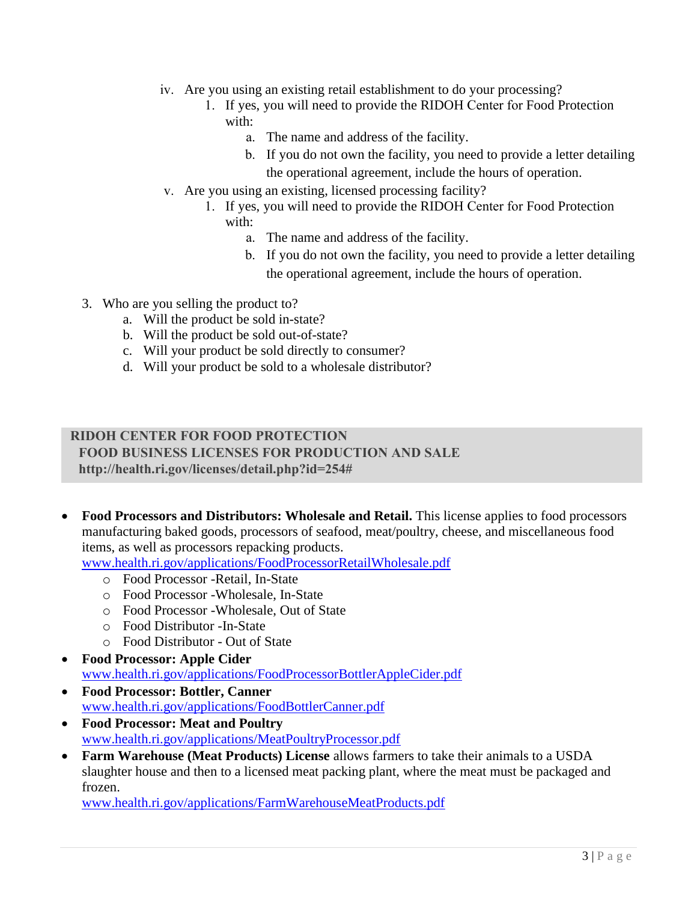- iv. Are you using an existing retail establishment to do your processing?
	- 1. If yes, you will need to provide the RIDOH Center for Food Protection with:
		- a. The name and address of the facility.
		- b. If you do not own the facility, you need to provide a letter detailing the operational agreement, include the hours of operation.
- v. Are you using an existing, licensed processing facility?
	- 1. If yes, you will need to provide the RIDOH Center for Food Protection with:
		- a. The name and address of the facility.
		- b. If you do not own the facility, you need to provide a letter detailing the operational agreement, include the hours of operation.
- 3. Who are you selling the product to?
	- a. Will the product be sold in-state?
	- b. Will the product be sold out-of-state?
	- c. Will your product be sold directly to consumer?
	- d. Will your product be sold to a wholesale distributor?

#### **RIDOH CENTER FOR FOOD PROTECTION**

**FOOD BUSINESS LICENSES FOR PRODUCTION AND SALE http://health.ri.gov/licenses/detail.php?id=254#**

 **Food Processors and Distributors: Wholesale and Retail.** This license applies to food processors manufacturing baked goods, processors of seafood, meat/poultry, cheese, and miscellaneous food items, as well as processors repacking products.

www.health.ri.gov/applications/FoodProcessorRetailWholesale.pdf

- o Food Processor -Retail, In-State
- o Food Processor -Wholesale, In-State
- o Food Processor -Wholesale, Out of State
- o Food Distributor -In-State
- o Food Distributor Out of State
- **Food Processor: Apple Cider** www.health.ri.gov/applications/FoodProcessorBottlerAppleCider.pdf
- **Food Processor: Bottler, Canner** www.health.ri.gov/applications/FoodBottlerCanner.pdf
- **Food Processor: Meat and Poultry** www.health.ri.gov/applications/MeatPoultryProcessor.pdf
- **Farm Warehouse (Meat Products) License** allows farmers to take their animals to a USDA slaughter house and then to a licensed meat packing plant, where the meat must be packaged and frozen.

www.health.ri.gov/applications/FarmWarehouseMeatProducts.pdf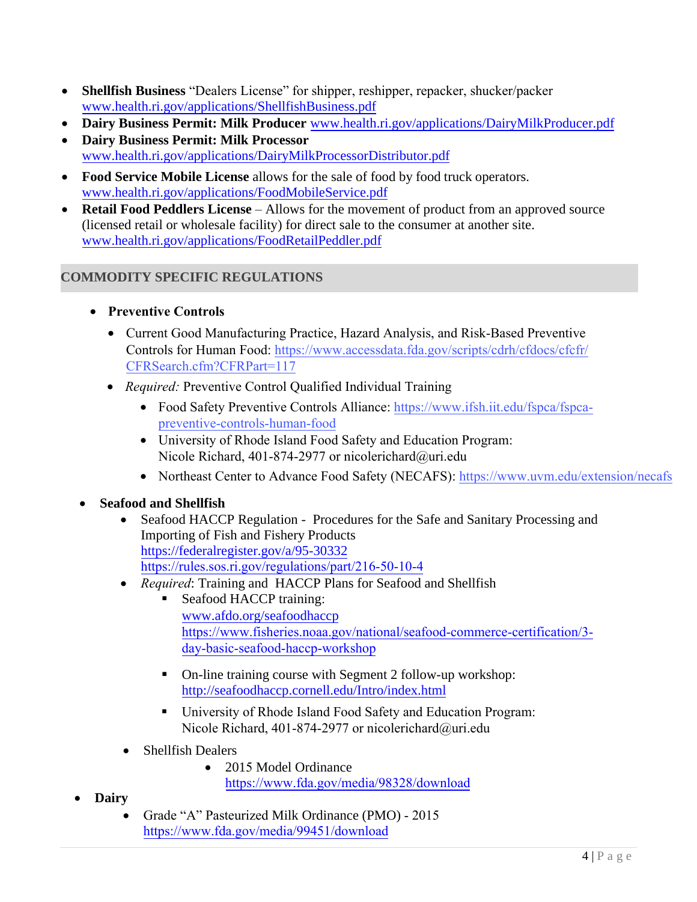- **Shellfish Business** "Dealers License" for shipper, reshipper, repacker, shucker/packer www.health.ri.gov/applications/ShellfishBusiness.pdf
- **Dairy Business Permit: Milk Producer** www.health.ri.gov/applications/DairyMilkProducer.pdf
- **Dairy Business Permit: Milk Processor** www.health.ri.gov/applications/DairyMilkProcessorDistributor.pdf
- **Food Service Mobile License** allows for the sale of food by food truck operators. www.health.ri.gov/applications/FoodMobileService.pdf
- **Retail Food Peddlers License** Allows for the movement of product from an approved source (licensed retail or wholesale facility) for direct sale to the consumer at another site. www.health.ri.gov/applications/FoodRetailPeddler.pdf

# **COMMODITY SPECIFIC REGULATIONS**

- **Preventive Controls**
	- Current Good Manufacturing Practice, Hazard Analysis, and Risk-Based Preventive Controls for Human Food: https://www.accessdata.fda.gov/scripts/cdrh/cfdocs/cfcfr/ CFRSearch.cfm?CFRPart=117
	- *Required:* Preventive Control Qualified Individual Training
		- Food Safety Preventive Controls Alliance: https://www.ifsh.iit.edu/fspca/fspcapreventive-controls-human-food
		- University of Rhode Island Food Safety and Education Program: Nicole Richard, 401-874-2977 or nicolerichard@uri.edu
		- Northeast Center to Advance Food Safety (NECAFS): https://www.uvm.edu/extension/necafs

# **Seafood and Shellfish**

- Seafood HACCP Regulation Procedures for the Safe and Sanitary Processing and Importing of Fish and Fishery Products https://federalregister.gov/a/95-30332 https://rules.sos.ri.gov/regulations/part/216-50-10-4
- *Required*: Training and HACCP Plans for Seafood and Shellfish
	- Seafood HACCP training: www.afdo.org/seafoodhaccp https://www.fisheries.noaa.gov/national/seafood-commerce-certification/3 day-basic-seafood-haccp-workshop
	- On-line training course with Segment 2 follow-up workshop: http://seafoodhaccp.cornell.edu/Intro/index.html
	- University of Rhode Island Food Safety and Education Program: Nicole Richard, 401-874-2977 or nicolerichard@uri.edu
- Shellfish Dealers
	- 2015 Model Ordinance https://www.fda.gov/media/98328/download
- **Dairy**
	- Grade "A" Pasteurized Milk Ordinance (PMO) 2015 https://www.fda.gov/media/99451/download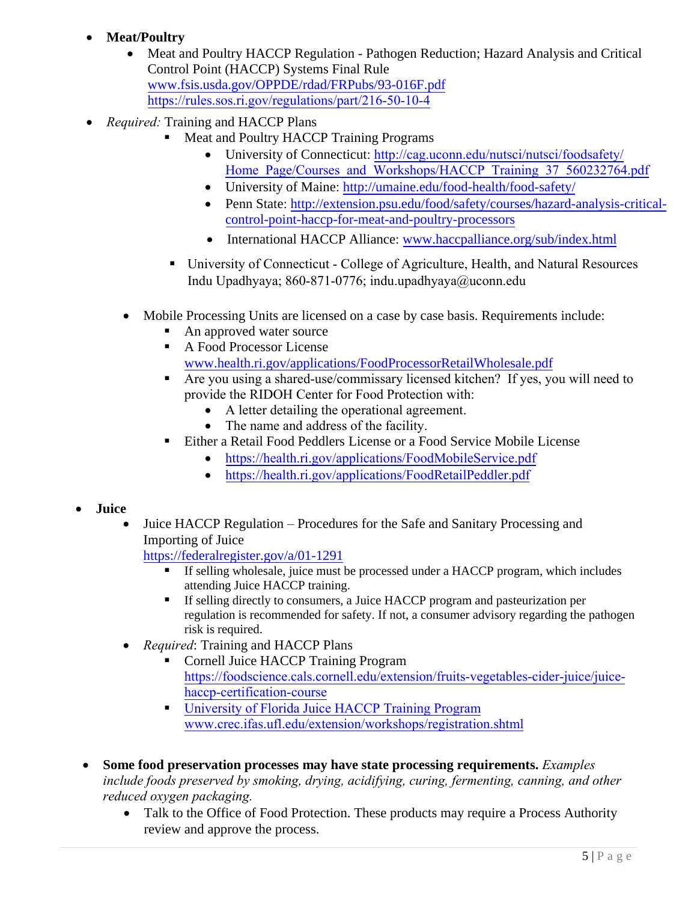# **Meat/Poultry**

- Meat and Poultry HACCP Regulation Pathogen Reduction; Hazard Analysis and Critical Control Point (HACCP) Systems Final Rule www.fsis.usda.gov/OPPDE/rdad/FRPubs/93-016F.pdf https://rules.sos.ri.gov/regulations/part/216-50-10-4
- *Required:* Training and HACCP Plans
	- Meat and Poultry HACCP Training Programs
		- University of Connecticut: http://cag.uconn.edu/nutsci/nutsci/foodsafety/ Home Page/Courses and Workshops/HACCP Training 37 560232764.pdf
		- University of Maine: http://umaine.edu/food-health/food-safety/
		- Penn State: http://extension.psu.edu/food/safety/courses/hazard-analysis-criticalcontrol-point-haccp-for-meat-and-poultry-processors
		- International HACCP Alliance: www.haccpalliance.org/sub/index.html
	- University of Connecticut College of Agriculture, Health, and Natural Resources Indu Upadhyaya; 860-871-0776; indu.upadhyaya@uconn.edu
	- Mobile Processing Units are licensed on a case by case basis. Requirements include:
		- An approved water source
		- A Food Processor License www.health.ri.gov/applications/FoodProcessorRetailWholesale.pdf
		- Are you using a shared-use/commissary licensed kitchen? If yes, you will need to provide the RIDOH Center for Food Protection with:
			- A letter detailing the operational agreement.
			- The name and address of the facility.
		- Either a Retail Food Peddlers License or a Food Service Mobile License
			- https://health.ri.gov/applications/FoodMobileService.pdf
			- https://health.ri.gov/applications/FoodRetailPeddler.pdf

#### **Juice**

 Juice HACCP Regulation – Procedures for the Safe and Sanitary Processing and Importing of Juice

https://federalregister.gov/a/01-1291

- If selling wholesale, juice must be processed under a HACCP program, which includes attending Juice HACCP training.
- If selling directly to consumers, a Juice HACCP program and pasteurization per regulation is recommended for safety. If not, a consumer advisory regarding the pathogen risk is required.
- *Required*: Training and HACCP Plans
	- Cornell Juice HACCP Training Program https://foodscience.cals.cornell.edu/extension/fruits-vegetables-cider-juice/juicehaccp-certification-course
	- University of Florida Juice HACCP Training Program www.crec.ifas.ufl.edu/extension/workshops/registration.shtml
- **Some food preservation processes may have state processing requirements.** *Examples include foods preserved by smoking, drying, acidifying, curing, fermenting, canning, and other reduced oxygen packaging.*
	- Talk to the Office of Food Protection. These products may require a Process Authority review and approve the process.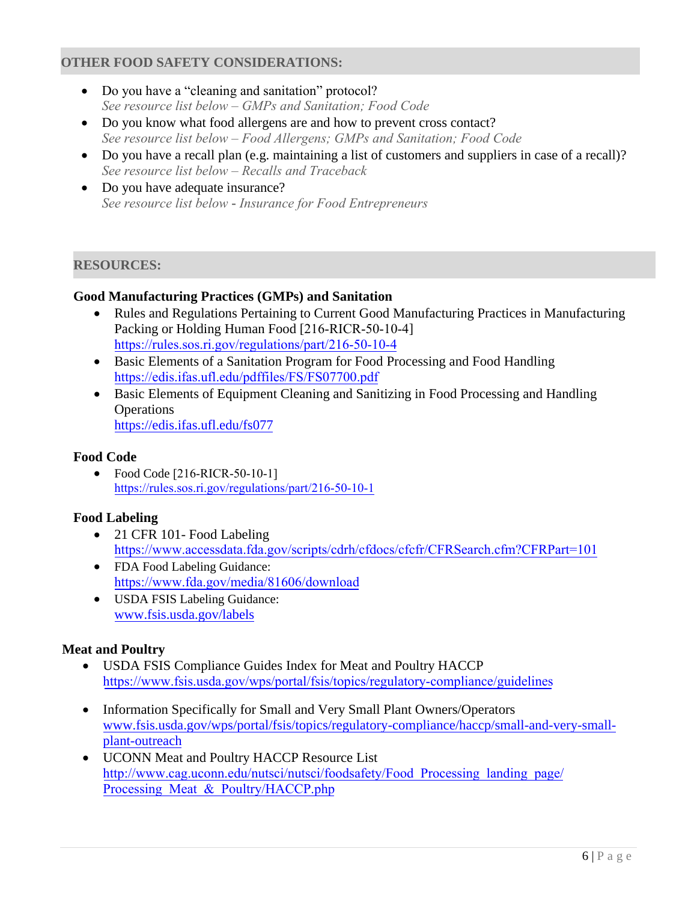#### **OTHER FOOD SAFETY CONSIDERATIONS:**

- Do you have a "cleaning and sanitation" protocol? *See resource list below – GMPs and Sanitation; Food Code*
- Do you know what food allergens are and how to prevent cross contact? *See resource list below – Food Allergens; GMPs and Sanitation; Food Code*
- Do you have a recall plan (e.g. maintaining a list of customers and suppliers in case of a recall)? *See resource list below – Recalls and Traceback*
- Do you have adequate insurance? *See resource list below* **-** *Insurance for Food Entrepreneurs*

#### **RESOURCES:**

#### **Good Manufacturing Practices (GMPs) and Sanitation**

- Rules and Regulations Pertaining to Current Good Manufacturing Practices in Manufacturing Packing or Holding Human Food [216-RICR-50-10-4] https://rules.sos.ri.gov/regulations/part/216-50-10-4
- Basic Elements of a Sanitation Program for Food Processing and Food Handling https://edis.ifas.ufl.edu/pdffiles/FS/FS07700.pdf
- Basic Elements of Equipment Cleaning and Sanitizing in Food Processing and Handling **Operations** https://edis.ifas.ufl.edu/fs077

#### **Food Code**

• Food Code [216-RICR-50-10-1] https://rules.sos.ri.gov/regulations/part/216-50-10-1

#### **Food Labeling**

- 21 CFR 101- Food Labeling https://www.accessdata.fda.gov/scripts/cdrh/cfdocs/cfcfr/CFRSearch.cfm?CFRPart=101
- FDA Food Labeling Guidance: https://www.fda.gov/media/81606/download
- USDA FSIS Labeling Guidance: www.fsis.usda.gov/labels

#### **Meat and Poultry**

- USDA FSIS Compliance Guides Index for Meat and Poultry HACCP https://www.fsis.usda.gov/wps/portal/fsis/topics/regulatory-compliance/guidelines
- Information Specifically for Small and Very Small Plant Owners/Operators www.fsis.usda.gov/wps/portal/fsis/topics/regulatory-compliance/haccp/small-and-very-smallplant-outreach
- UCONN Meat and Poultry HACCP Resource List http://www.cag.uconn.edu/nutsci/nutsci/foodsafety/Food\_Processing\_landing\_page/ Processing Meat & Poultry/HACCP.php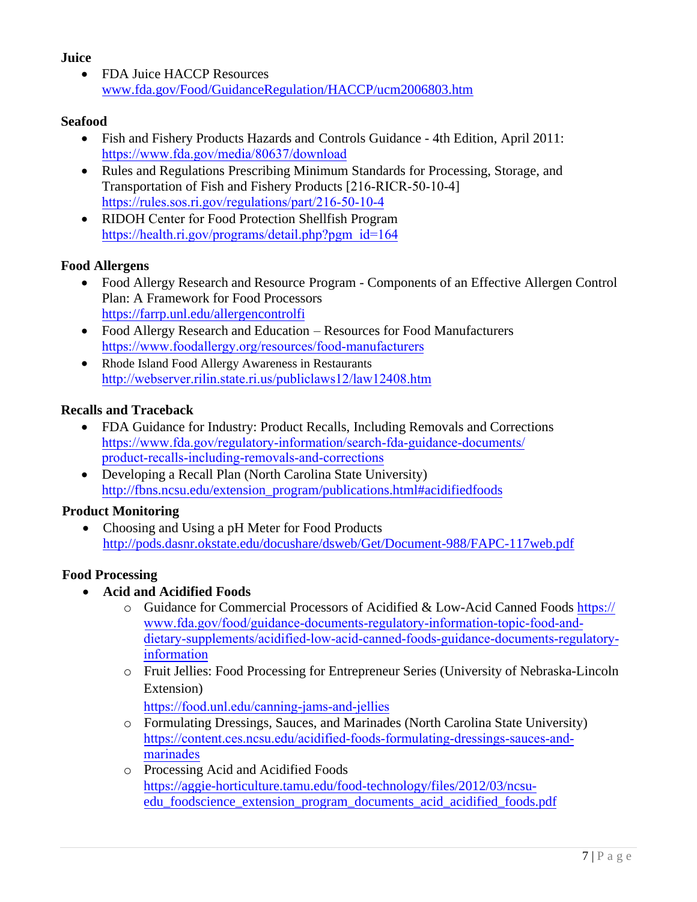## **Juice**

• FDA Juice HACCP Resources www.fda.gov/Food/GuidanceRegulation/HACCP/ucm2006803.htm

## **Seafood**

- Fish and Fishery Products Hazards and Controls Guidance 4th Edition, April 2011: https://www.fda.gov/media/80637/download
- Rules and Regulations Prescribing Minimum Standards for Processing, Storage, and Transportation of Fish and Fishery Products [216-RICR-50-10-4] https://rules.sos.ri.gov/regulations/part/216-50-10-4
- RIDOH Center for Food Protection Shellfish Program https://health.ri.gov/programs/detail.php?pgm\_id=164

## **Food Allergens**

- Food Allergy Research and Resource Program Components of an Effective Allergen Control Plan: A Framework for Food Processors https://farrp.unl.edu/allergencontrolfi
- Food Allergy Research and Education Resources for Food Manufacturers https://www.foodallergy.org/resources/food-manufacturers
- Rhode Island Food Allergy Awareness in Restaurants http://webserver.rilin.state.ri.us/publiclaws12/law12408.htm

## **Recalls and Traceback**

- FDA Guidance for Industry: Product Recalls, Including Removals and Corrections https://www.fda.gov/regulatory-information/search-fda-guidance-documents/ product-recalls-including-removals-and-corrections
- Developing a Recall Plan (North Carolina State University) http://fbns.ncsu.edu/extension\_program/publications.html#acidifiedfoods

# **Product Monitoring**

 Choosing and Using a pH Meter for Food Products http://pods.dasnr.okstate.edu/docushare/dsweb/Get/Document-988/FAPC-117web.pdf

# **Food Processing**

- **Acid and Acidified Foods**
	- o Guidance for Commercial Processors of Acidified & Low-Acid Canned Foods https:// www.fda.gov/food/guidance-documents-regulatory-information-topic-food-anddietary-supplements/acidified-low-acid-canned-foods-guidance-documents-regulatoryinformation
	- o Fruit Jellies: Food Processing for Entrepreneur Series (University of Nebraska-Lincoln Extension)

https://food.unl.edu/canning-jams-and-jellies

- o Formulating Dressings, Sauces, and Marinades (North Carolina State University) https://content.ces.ncsu.edu/acidified-foods-formulating-dressings-sauces-andmarinades
- o Processing Acid and Acidified Foods https://aggie-horticulture.tamu.edu/food-technology/files/2012/03/ncsuedu\_foodscience\_extension\_program\_documents\_acid\_acidified\_foods.pdf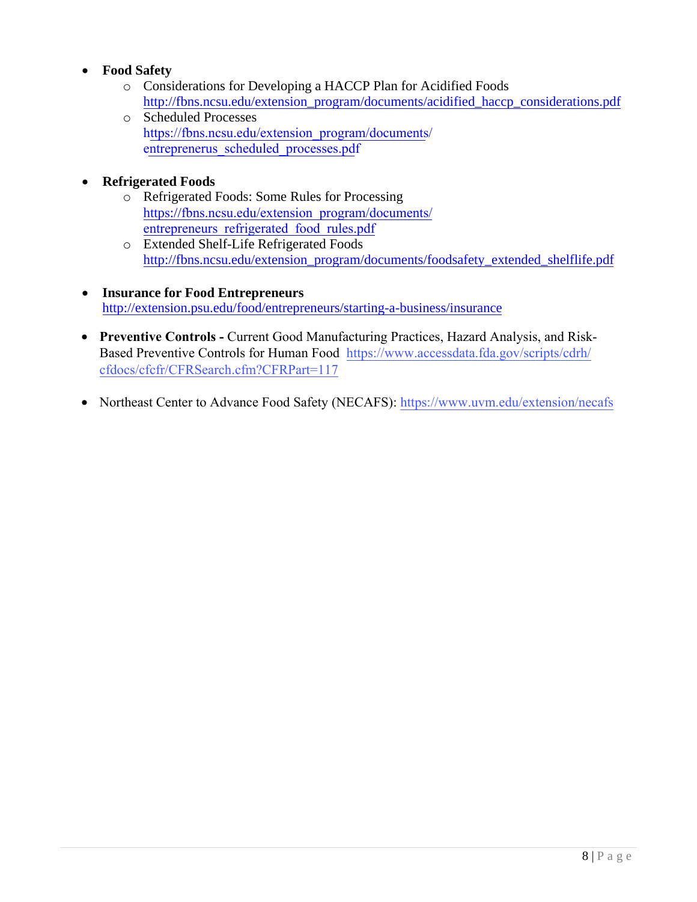# **Food Safety**

- o Considerations for Developing a HACCP Plan for Acidified Foods http://fbns.ncsu.edu/extension\_program/documents/acidified\_haccp\_considerations.pdf
- o Scheduled Processes https://fbns.ncsu.edu/extension\_program/documents/ entreprenerus\_scheduled\_processes.pdf

# **Refrigerated Foods**

- o Refrigerated Foods: Some Rules for Processing https://fbns.ncsu.edu/extension\_program/documents/ entrepreneurs refrigerated food rules.pdf
- o Extended Shelf-Life Refrigerated Foods http://fbns.ncsu.edu/extension\_program/documents/foodsafety\_extended\_shelflife.pdf
- **Insurance for Food Entrepreneurs** http://extension.psu.edu/food/entrepreneurs/starting-a-business/insurance
- **Preventive Controls Current Good Manufacturing Practices, Hazard Analysis, and Risk-**Based Preventive Controls for Human Food https://www.accessdata.fda.gov/scripts/cdrh/ cfdocs/cfcfr/CFRSearch.cfm?CFRPart=117
- Northeast Center to Advance Food Safety (NECAFS): https://www.uvm.edu/extension/necafs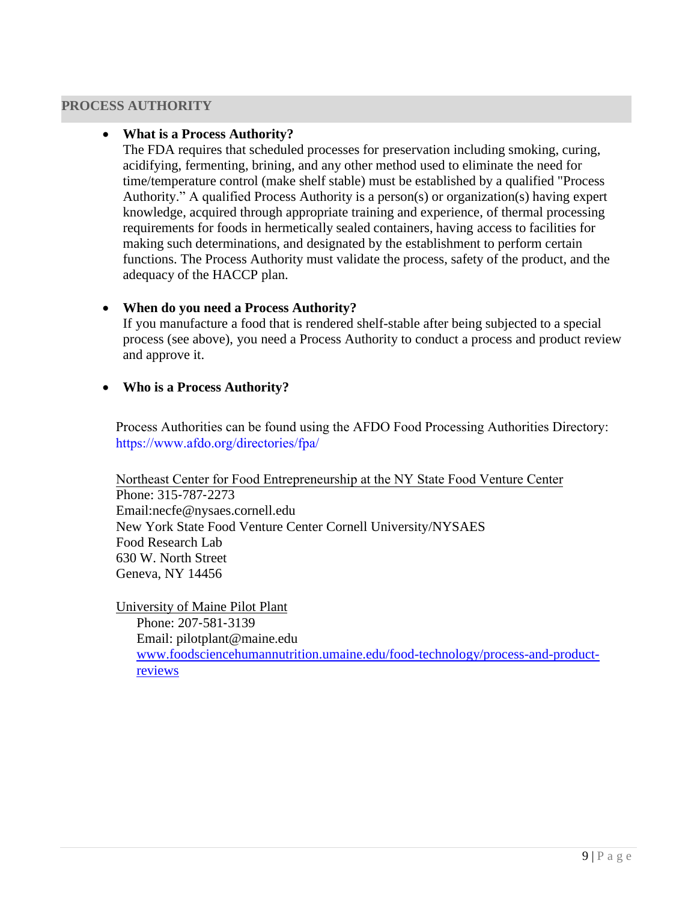#### **PROCESS AUTHORITY**

#### **What is a Process Authority?**

The FDA requires that scheduled processes for preservation including smoking, curing, acidifying, fermenting, brining, and any other method used to eliminate the need for time/temperature control (make shelf stable) must be established by a qualified "Process Authority." A qualified Process Authority is a person(s) or organization(s) having expert knowledge, acquired through appropriate training and experience, of thermal processing requirements for foods in hermetically sealed containers, having access to facilities for making such determinations, and designated by the establishment to perform certain functions. The Process Authority must validate the process, safety of the product, and the adequacy of the HACCP plan.

#### **When do you need a Process Authority?**

If you manufacture a food that is rendered shelf-stable after being subjected to a special process (see above), you need a Process Authority to conduct a process and product review and approve it.

#### **Who is a Process Authority?**

Process Authorities can be found using the AFDO Food Processing Authorities Directory: https://www.afdo.org/directories/fpa/

Northeast Center for Food Entrepreneurship at the NY State Food Venture Center Phone: 315‐787‐2273 Email:necfe@nysaes.cornell.edu New York State Food Venture Center Cornell University/NYSAES Food Research Lab 630 W. North Street Geneva, NY 14456

University of Maine Pilot Plant Phone: 207‐581‐3139 Email: pilotplant@maine.edu www.foodsciencehumannutrition.umaine.edu/food-technology/process-and-productreviews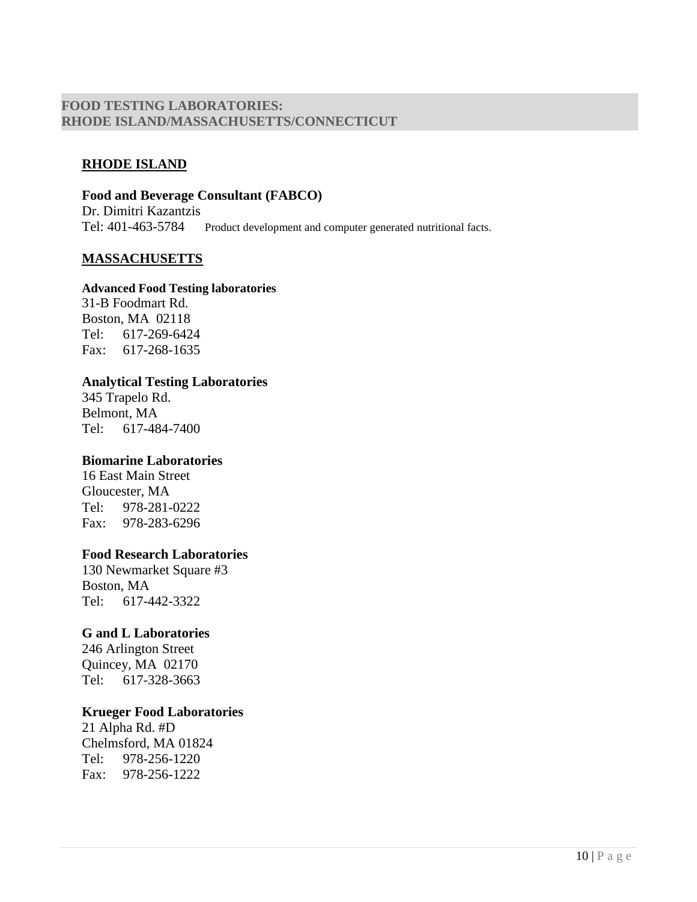#### **FOOD TESTING LABORATORIES: RHODE ISLAND/MASSACHUSETTS/CONNECTICUT**

#### **RHODE ISLAND**

**Food and Beverage Consultant (FABCO)**  Dr. Dimitri Kazantzis Tel: 401-463-5784 Product development and computer generated nutritional facts.

#### **MASSACHUSETTS**

#### **Advanced Food Testing laboratories**

31-B Foodmart Rd. Boston, MA 02118 Tel: 617-269-6424 Fax: 617-268-1635

# **Analytical Testing Laboratories**

345 Trapelo Rd. Belmont, MA Tel: 617-484-7400

#### **Biomarine Laboratories**

16 East Main Street Gloucester, MA Tel: 978-281-0222 Fax: 978-283-6296

#### **Food Research Laboratories**

130 Newmarket Square #3 Boston, MA Tel: 617-442-3322

#### **G and L Laboratories**

246 Arlington Street Quincey, MA 02170 Tel: 617-328-3663

#### **Krueger Food Laboratories**

21 Alpha Rd. #D Chelmsford, MA 01824 Tel: 978-256-1220 Fax: 978-256-1222